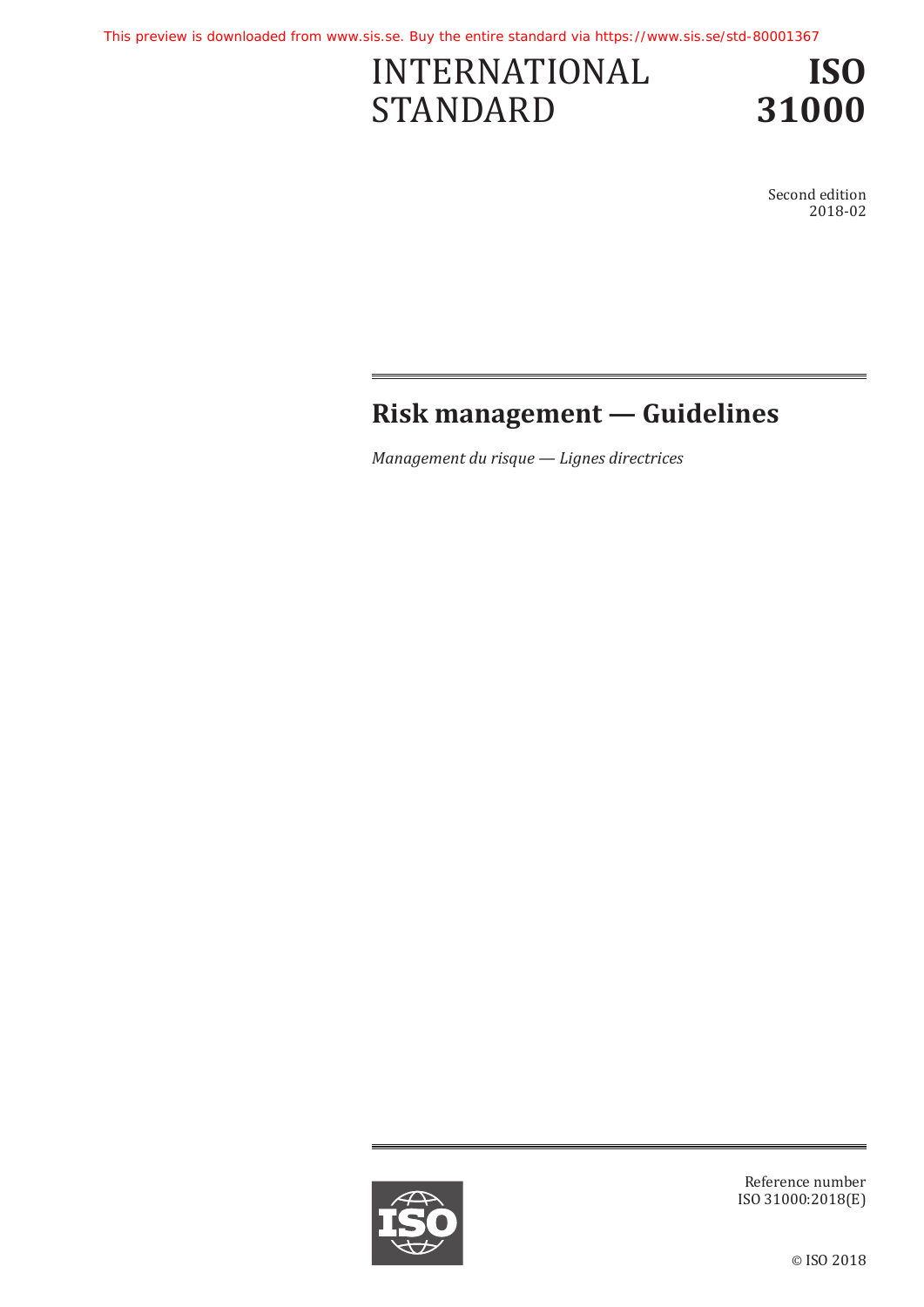# INTERNATIONAL STANDARD



Second edition 2018-02

# **Risk management — Guidelines**

*Management du risque — Lignes directrices*



Reference number ISO 31000:2018(E)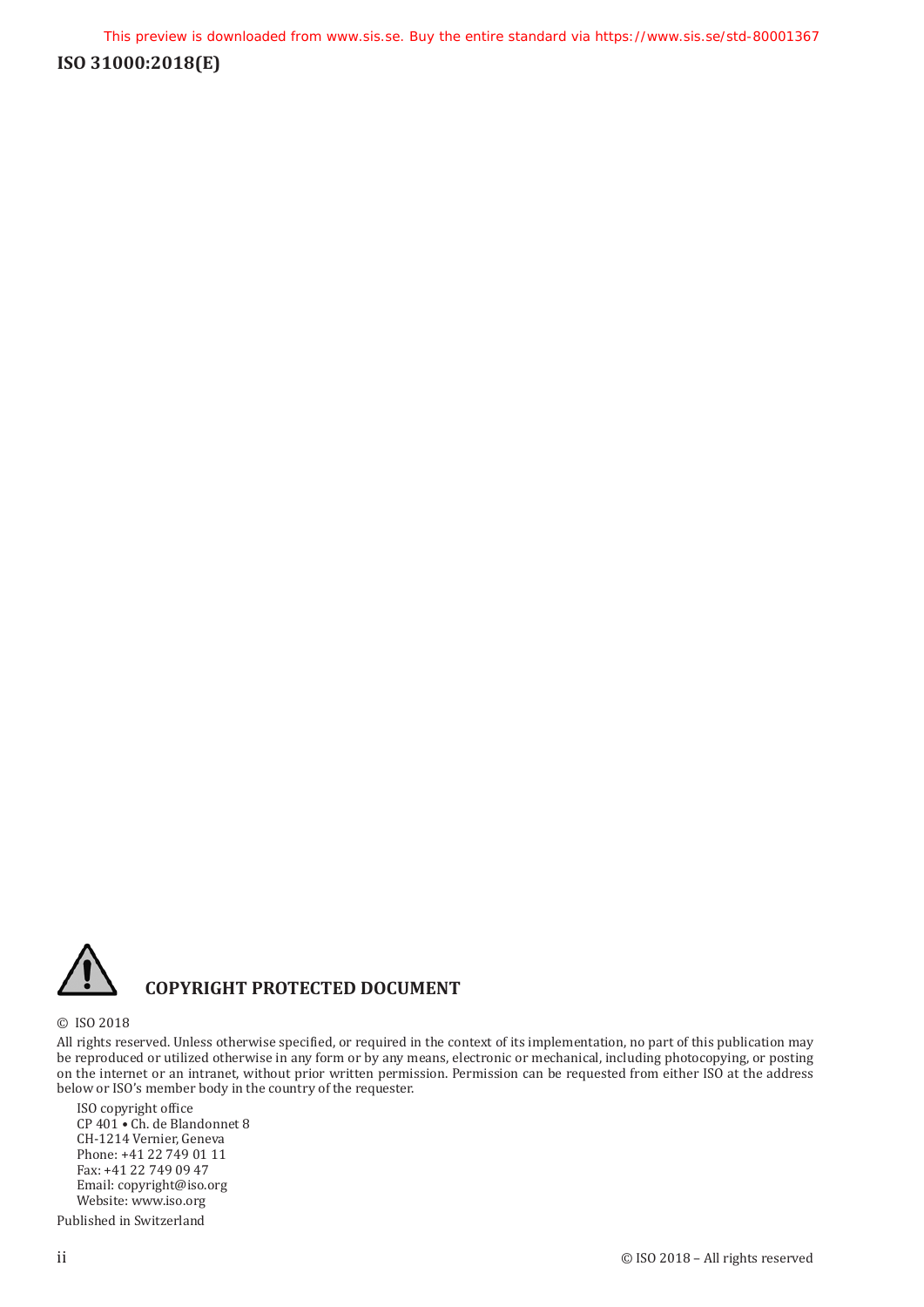This preview is downloaded from www.sis.se. Buy the entire standard via https://www.sis.se/std-80001367

**ISO 31000:2018(E)**



# **COPYRIGHT PROTECTED DOCUMENT**

#### © ISO 2018

All rights reserved. Unless otherwise specified, or required in the context of its implementation, no part of this publication may be reproduced or utilized otherwise in any form or by any means, electronic or mechanical, including photocopying, or posting on the internet or an intranet, without prior written permission. Permission can be requested from either ISO at the address below or ISO's member body in the country of the requester.

ISO copyright office CP 401 • Ch. de Blandonnet 8 CH-1214 Vernier, Geneva Phone: +41 22 749 01 11 Fax: +41 22 749 09 47 Email: copyright@iso.org Website: www.iso.org

Published in Switzerland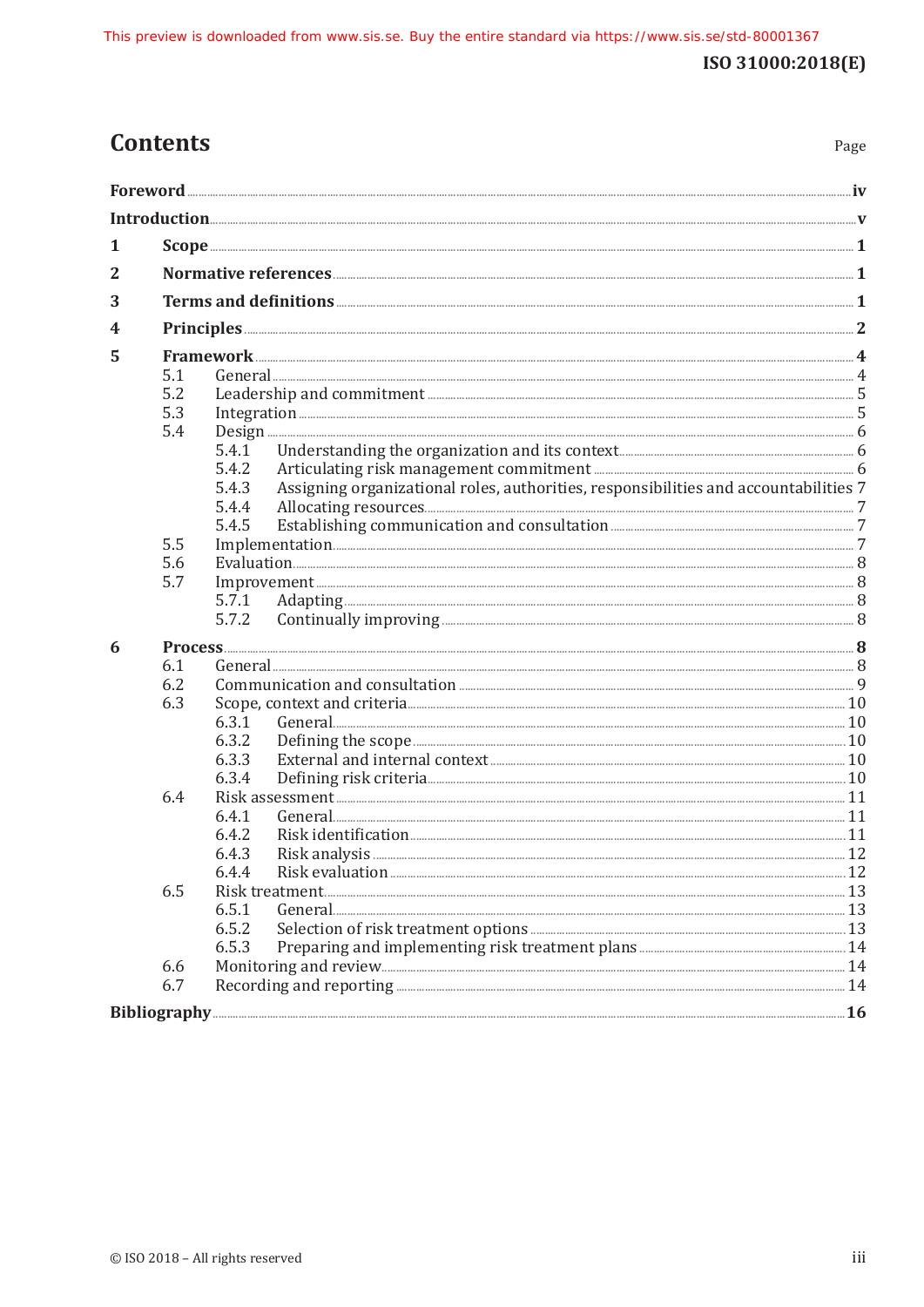# **Contents**

| 1              |            |                                                                                                                                                                                                                                              |  |
|----------------|------------|----------------------------------------------------------------------------------------------------------------------------------------------------------------------------------------------------------------------------------------------|--|
|                |            |                                                                                                                                                                                                                                              |  |
| $\overline{2}$ |            |                                                                                                                                                                                                                                              |  |
| 3              |            |                                                                                                                                                                                                                                              |  |
| 4              |            |                                                                                                                                                                                                                                              |  |
| 5              |            |                                                                                                                                                                                                                                              |  |
|                | 5.1        |                                                                                                                                                                                                                                              |  |
|                | 5.2        |                                                                                                                                                                                                                                              |  |
|                | 5.3<br>5.4 |                                                                                                                                                                                                                                              |  |
|                |            |                                                                                                                                                                                                                                              |  |
|                |            | 5.4.1                                                                                                                                                                                                                                        |  |
|                |            | 5.4.2                                                                                                                                                                                                                                        |  |
|                |            | Assigning organizational roles, authorities, responsibilities and accountabilities 7<br>5.4.3                                                                                                                                                |  |
|                |            | 5.4.4                                                                                                                                                                                                                                        |  |
|                |            | 5.4.5                                                                                                                                                                                                                                        |  |
|                | 5.5<br>5.6 | Evaluation 88 and 88 and 88 and 88 and 88 and 88 and 88 and 88 and 88 and 88 and 88 and 88 and 88 and 88 and 8                                                                                                                               |  |
|                | 5.7        |                                                                                                                                                                                                                                              |  |
|                |            | 5.7.1                                                                                                                                                                                                                                        |  |
|                |            | 5.7.2                                                                                                                                                                                                                                        |  |
|                |            |                                                                                                                                                                                                                                              |  |
| 6              |            |                                                                                                                                                                                                                                              |  |
|                | 6.1        |                                                                                                                                                                                                                                              |  |
|                | 6.2        |                                                                                                                                                                                                                                              |  |
|                | 6.3        | Scope, context and criteria <u>context</u> of the context and criteria and context and criteria and context and context and context and context and context and context and context and context and context and context and context<br>6.3.1 |  |
|                |            | 6.3.2                                                                                                                                                                                                                                        |  |
|                |            | 6.3.3                                                                                                                                                                                                                                        |  |
|                |            | 6.3.4                                                                                                                                                                                                                                        |  |
|                | 6.4        |                                                                                                                                                                                                                                              |  |
|                |            | 6.4.1                                                                                                                                                                                                                                        |  |
|                |            | 6.4.2                                                                                                                                                                                                                                        |  |
|                |            | 6.4.3                                                                                                                                                                                                                                        |  |
|                |            | 6.4.4                                                                                                                                                                                                                                        |  |
|                | 6.5        |                                                                                                                                                                                                                                              |  |
|                |            | 6.5.1                                                                                                                                                                                                                                        |  |
|                |            | 6.5.2                                                                                                                                                                                                                                        |  |
|                |            | 6.5.3                                                                                                                                                                                                                                        |  |
|                | 6.6        |                                                                                                                                                                                                                                              |  |
|                | 6.7        |                                                                                                                                                                                                                                              |  |
|                |            |                                                                                                                                                                                                                                              |  |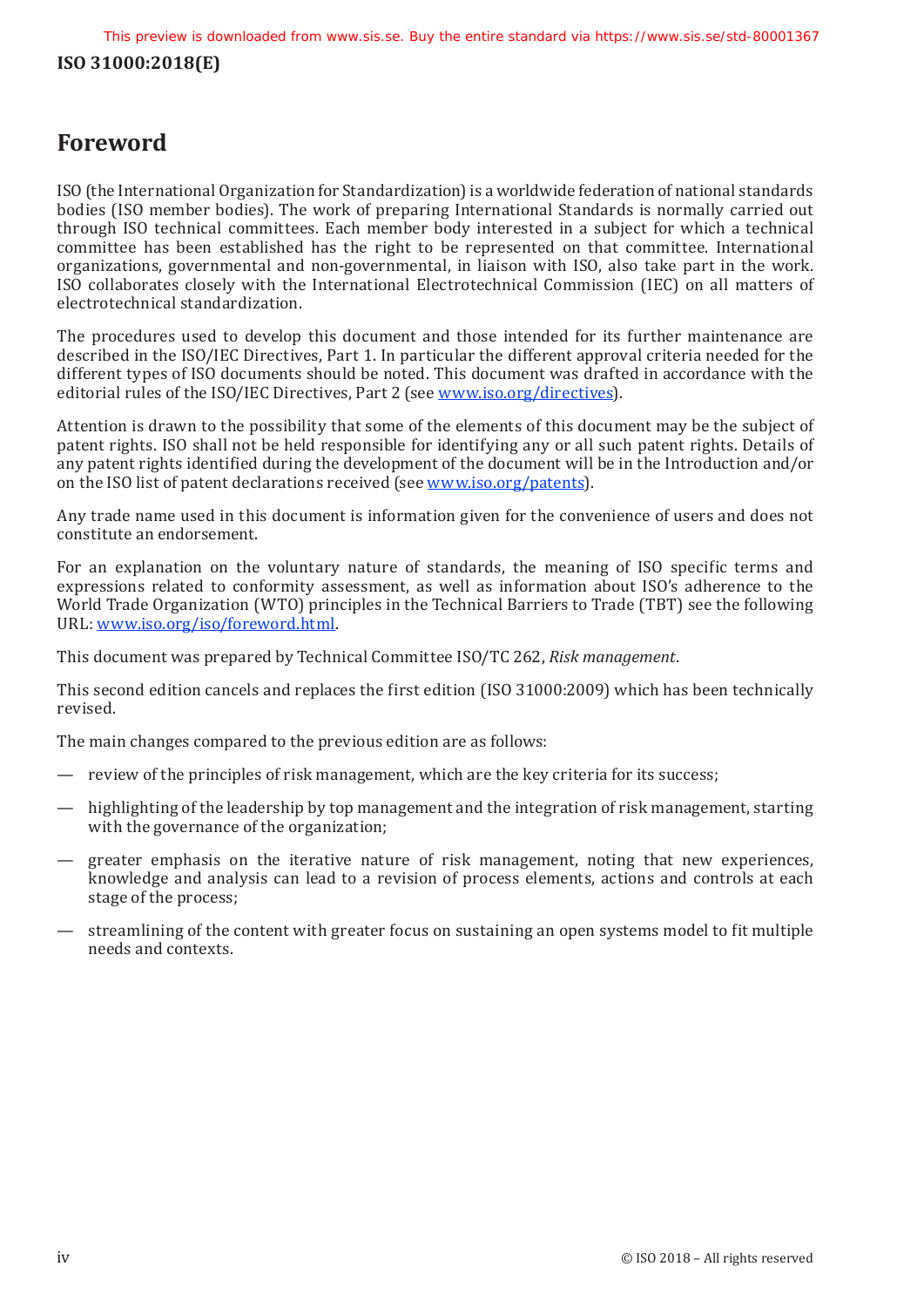# <span id="page-3-0"></span>**Foreword**

ISO (the International Organization for Standardization) is a worldwide federation of national standards bodies (ISO member bodies). The work of preparing International Standards is normally carried out through ISO technical committees. Each member body interested in a subject for which a technical committee has been established has the right to be represented on that committee. International organizations, governmental and non-governmental, in liaison with ISO, also take part in the work. ISO collaborates closely with the International Electrotechnical Commission (IEC) on all matters of electrotechnical standardization.

The procedures used to develop this document and those intended for its further maintenance are described in the ISO/IEC Directives, Part 1. In particular the different approval criteria needed for the different types of ISO documents should be noted. This document was drafted in accordance with the editorial rules of the ISO/IEC Directives, Part 2 (see [www.iso.org/directives\)](https://www.iso.org/directives-and-policies.html).

Attention is drawn to the possibility that some of the elements of this document may be the subject of patent rights. ISO shall not be held responsible for identifying any or all such patent rights. Details of any patent rights identified during the development of the document will be in the Introduction and/or on the ISO list of patent declarations received (see [www.iso.org/](https://www.iso.org/patents)patents).

Any trade name used in this document is information given for the convenience of users and does not constitute an endorsement.

For an explanation on the voluntary nature of standards, the meaning of ISO specific terms and expressions related to conformity assessment, as well as information about ISO's adherence to the World Trade Organization (WTO) principles in the Technical Barriers to Trade (TBT) see the following URL: [www.iso.org/iso/foreword.html](https://www.iso.org/iso/foreword.html).

This document was prepared by Technical Committee ISO/TC 262, *Risk management*.

This second edition cancels and replaces the first edition (ISO 31000:2009) which has been technically revised.

The main changes compared to the previous edition are as follows:

- review of the principles of risk management, which are the key criteria for its success;
- highlighting of the leadership by top management and the integration of risk management, starting with the governance of the organization;
- greater emphasis on the iterative nature of risk management, noting that new experiences, knowledge and analysis can lead to a revision of process elements, actions and controls at each stage of the process;
- streamlining of the content with greater focus on sustaining an open systems model to fit multiple needs and contexts.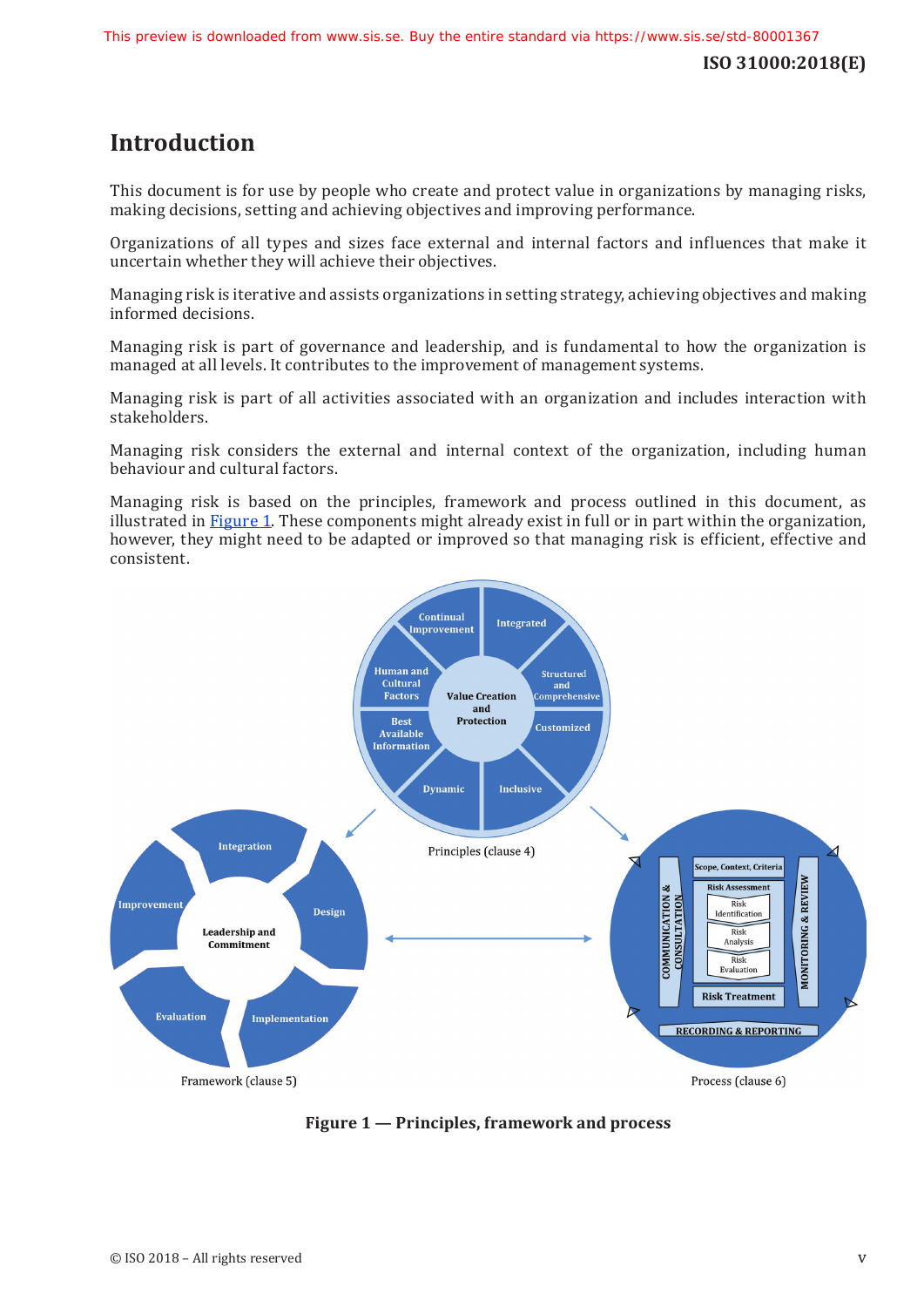# <span id="page-4-0"></span>**Introduction**

This document is for use by people who create and protect value in organizations by managing risks, making decisions, setting and achieving objectives and improving performance.

Organizations of all types and sizes face external and internal factors and influences that make it uncertain whether they will achieve their objectives.

Managing risk is iterative and assists organizations in setting strategy, achieving objectives and making informed decisions.

Managing risk is part of governance and leadership, and is fundamental to how the organization is managed at all levels. It contributes to the improvement of management systems.

Managing risk is part of all activities associated with an organization and includes interaction with stakeholders.

Managing risk considers the external and internal context of the organization, including human behaviour and cultural factors.

Managing risk is based on the principles, framework and process outlined in this document, as illustrated in [Figure](#page-4-1) 1. These components might already exist in full or in part within the organization, however, they might need to be adapted or improved so that managing risk is efficient, effective and consistent.



<span id="page-4-1"></span>**Figure 1 — Principles, framework and process**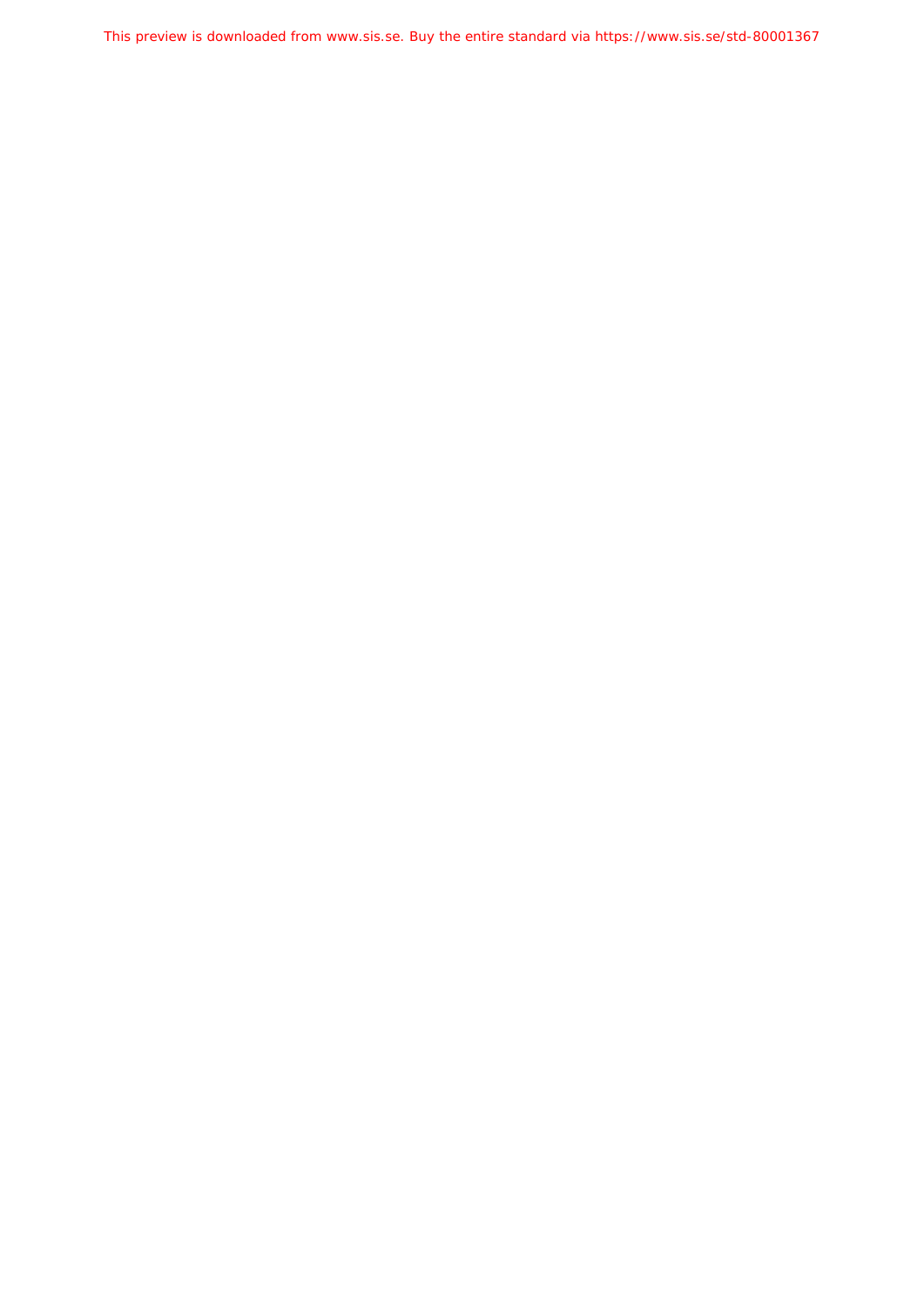This preview is downloaded from www.sis.se. Buy the entire standard via https://www.sis.se/std-80001367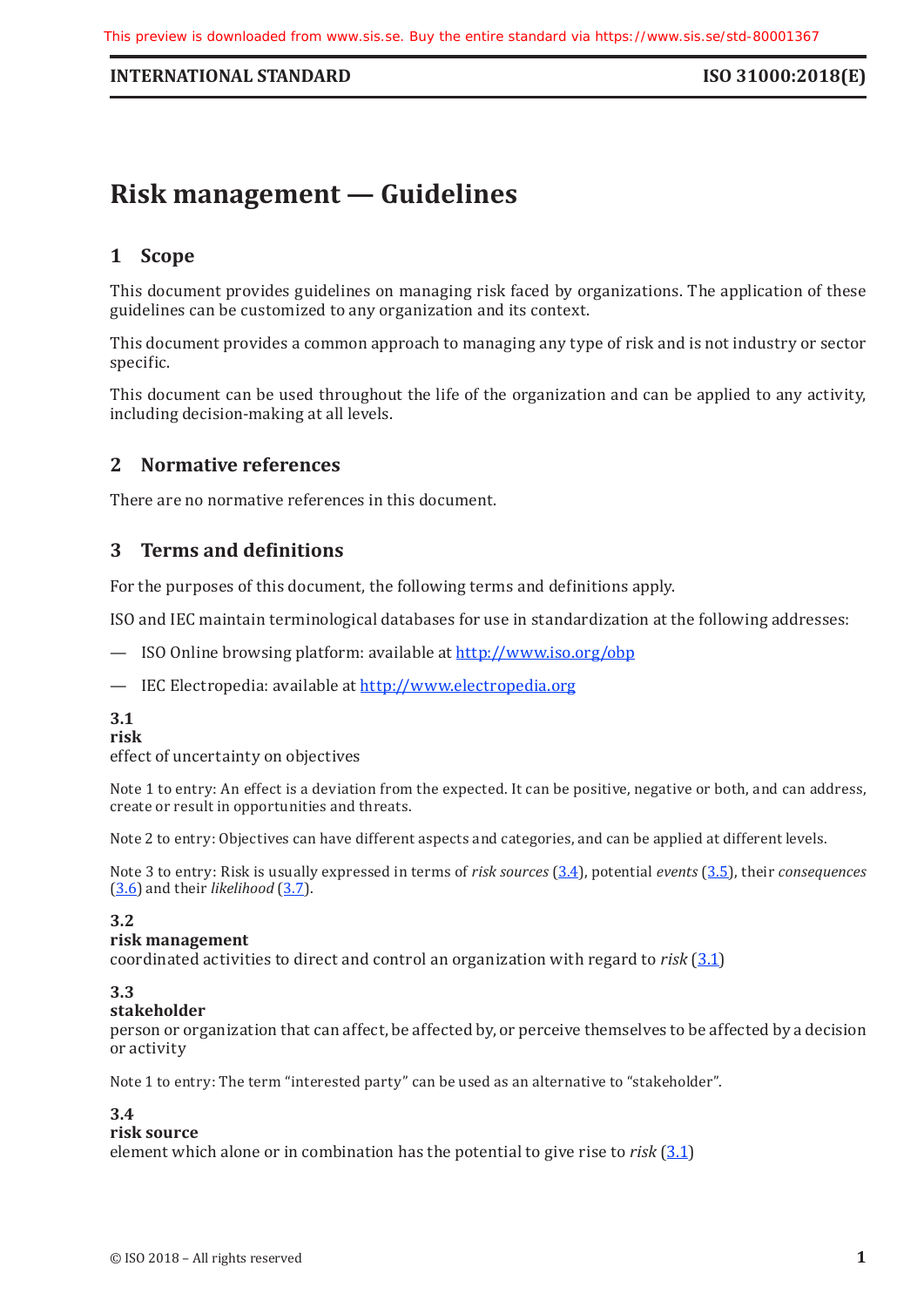#### <span id="page-6-0"></span>**INTERNATIONAL STANDARD ISO 31000:2018(E)**

# **Risk management — Guidelines**

### **1 Scope**

This document provides guidelines on managing risk faced by organizations. The application of these guidelines can be customized to any organization and its context.

This document provides a common approach to managing any type of risk and is not industry or sector specific.

This document can be used throughout the life of the organization and can be applied to any activity, including decision-making at all levels.

### **2 Normative references**

There are no normative references in this document.

### **3 Terms and definitions**

For the purposes of this document, the following terms and definitions apply.

ISO and IEC maintain terminological databases for use in standardization at the following addresses:

— ISO Online browsing platform: available at <http://www.iso.org/obp>

— IEC Electropedia: available at http://www[.electropedia](http://www.electropedia.org).org

#### <span id="page-6-2"></span>**3.1**

#### **risk**

effect of uncertainty on objectives

Note 1 to entry: An effect is a deviation from the expected. It can be positive, negative or both, and can address, create or result in opportunities and threats.

Note 2 to entry: Objectives can have different aspects and categories, and can be applied at different levels.

Note 3 to entry: Risk is usually expressed in terms of *risk sources* ([3.4\)](#page-6-1), potential *events* [\(3.5](#page-7-1)), their *consequences* ([3.6](#page-7-2)) and their *likelihood* ([3.7](#page-7-3)).

#### <span id="page-6-3"></span>**3.2**

#### **risk management**

coordinated activities to direct and control an organization with regard to *risk* ([3.1](#page-6-2))

#### **3.3**

#### **stakeholder**

person or organization that can affect, be affected by, or perceive themselves to be affected by a decision or activity

Note 1 to entry: The term "interested party" can be used as an alternative to "stakeholder".

#### <span id="page-6-1"></span>**3.4**

#### **risk source**

element which alone or in combination has the potential to give rise to *risk* ([3.1\)](#page-6-2)